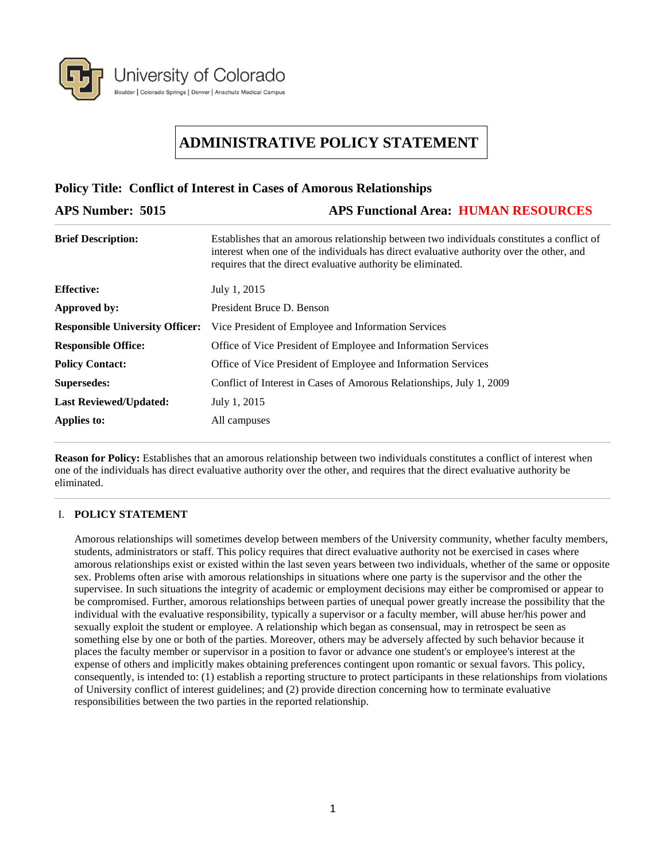

**Policy Title: Conflict of Interest in Cases of Amorous Relationships**

# **ADMINISTRATIVE POLICY STATEMENT**

| Tone, There Comme of Mitchell and Cubel of Hindrome Technology by |                                                                                                                                                                                                                                                        |
|-------------------------------------------------------------------|--------------------------------------------------------------------------------------------------------------------------------------------------------------------------------------------------------------------------------------------------------|
| <b>APS Number: 5015</b>                                           | <b>APS Functional Area: HUMAN RESOURCES</b>                                                                                                                                                                                                            |
| <b>Brief Description:</b>                                         | Establishes that an amorous relationship between two individuals constitutes a conflict of<br>interest when one of the individuals has direct evaluative authority over the other, and<br>requires that the direct evaluative authority be eliminated. |
| <b>Effective:</b>                                                 | July 1, 2015                                                                                                                                                                                                                                           |
| Approved by:                                                      | President Bruce D. Benson                                                                                                                                                                                                                              |
| <b>Responsible University Officer:</b>                            | Vice President of Employee and Information Services                                                                                                                                                                                                    |
| <b>Responsible Office:</b>                                        | Office of Vice President of Employee and Information Services                                                                                                                                                                                          |
| <b>Policy Contact:</b>                                            | Office of Vice President of Employee and Information Services                                                                                                                                                                                          |
| <b>Supersedes:</b>                                                | Conflict of Interest in Cases of Amorous Relationships, July 1, 2009                                                                                                                                                                                   |
| <b>Last Reviewed/Updated:</b>                                     | July 1, 2015                                                                                                                                                                                                                                           |
| Applies to:                                                       | All campuses                                                                                                                                                                                                                                           |
|                                                                   |                                                                                                                                                                                                                                                        |

**Reason for Policy:** Establishes that an amorous relationship between two individuals constitutes a conflict of interest when one of the individuals has direct evaluative authority over the other, and requires that the direct evaluative authority be eliminated.

## I. **POLICY STATEMENT**

Amorous relationships will sometimes develop between members of the University community, whether faculty members, students, administrators or staff. This policy requires that direct evaluative authority not be exercised in cases where amorous relationships exist or existed within the last seven years between two individuals, whether of the same or opposite sex. Problems often arise with amorous relationships in situations where one party is the supervisor and the other the supervisee. In such situations the integrity of academic or employment decisions may either be compromised or appear to be compromised. Further, amorous relationships between parties of unequal power greatly increase the possibility that the individual with the evaluative responsibility, typically a supervisor or a faculty member, will abuse her/his power and sexually exploit the student or employee. A relationship which began as consensual, may in retrospect be seen as something else by one or both of the parties. Moreover, others may be adversely affected by such behavior because it places the faculty member or supervisor in a position to favor or advance one student's or employee's interest at the expense of others and implicitly makes obtaining preferences contingent upon romantic or sexual favors. This policy, consequently, is intended to: (1) establish a reporting structure to protect participants in these relationships from violations of University conflict of interest guidelines; and (2) provide direction concerning how to terminate evaluative responsibilities between the two parties in the reported relationship.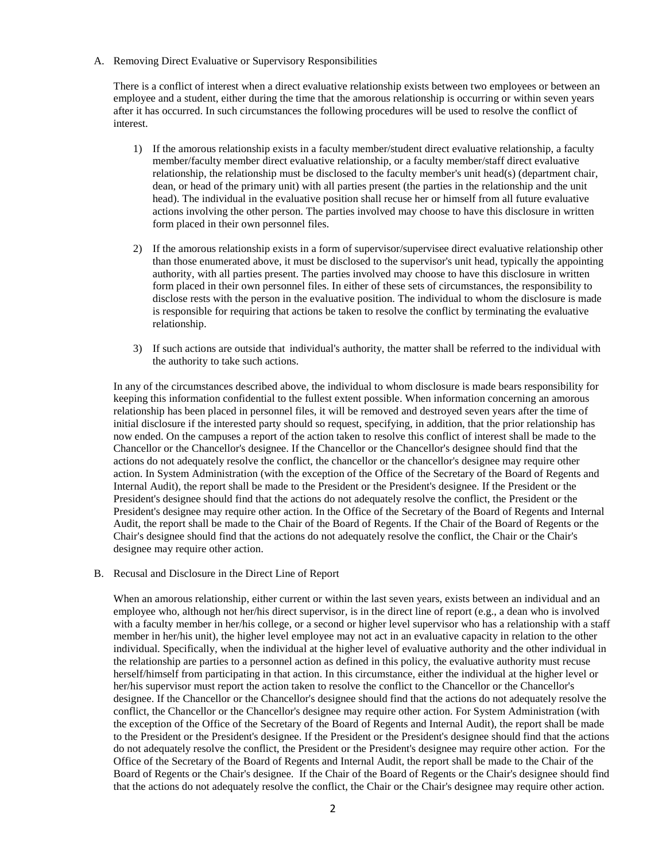A. Removing Direct Evaluative or Supervisory Responsibilities

There is a conflict of interest when a direct evaluative relationship exists between two employees or between an employee and a student, either during the time that the amorous relationship is occurring or within seven years after it has occurred. In such circumstances the following procedures will be used to resolve the conflict of interest.

- 1) If the amorous relationship exists in a faculty member/student direct evaluative relationship, a faculty member/faculty member direct evaluative relationship, or a faculty member/staff direct evaluative relationship, the relationship must be disclosed to the faculty member's unit head(s) (department chair, dean, or head of the primary unit) with all parties present (the parties in the relationship and the unit head). The individual in the evaluative position shall recuse her or himself from all future evaluative actions involving the other person. The parties involved may choose to have this disclosure in written form placed in their own personnel files.
- 2) If the amorous relationship exists in a form of supervisor/supervisee direct evaluative relationship other than those enumerated above, it must be disclosed to the supervisor's unit head, typically the appointing authority, with all parties present. The parties involved may choose to have this disclosure in written form placed in their own personnel files. In either of these sets of circumstances, the responsibility to disclose rests with the person in the evaluative position. The individual to whom the disclosure is made is responsible for requiring that actions be taken to resolve the conflict by terminating the evaluative relationship.
- 3) If such actions are outside that individual's authority, the matter shall be referred to the individual with the authority to take such actions.

In any of the circumstances described above, the individual to whom disclosure is made bears responsibility for keeping this information confidential to the fullest extent possible. When information concerning an amorous relationship has been placed in personnel files, it will be removed and destroyed seven years after the time of initial disclosure if the interested party should so request, specifying, in addition, that the prior relationship has now ended. On the campuses a report of the action taken to resolve this conflict of interest shall be made to the Chancellor or the Chancellor's designee. If the Chancellor or the Chancellor's designee should find that the actions do not adequately resolve the conflict, the chancellor or the chancellor's designee may require other action. In System Administration (with the exception of the Office of the Secretary of the Board of Regents and Internal Audit), the report shall be made to the President or the President's designee. If the President or the President's designee should find that the actions do not adequately resolve the conflict, the President or the President's designee may require other action. In the Office of the Secretary of the Board of Regents and Internal Audit, the report shall be made to the Chair of the Board of Regents. If the Chair of the Board of Regents or the Chair's designee should find that the actions do not adequately resolve the conflict, the Chair or the Chair's designee may require other action.

B. Recusal and Disclosure in the Direct Line of Report

When an amorous relationship, either current or within the last seven years, exists between an individual and an employee who, although not her/his direct supervisor, is in the direct line of report (e.g., a dean who is involved with a faculty member in her/his college, or a second or higher level supervisor who has a relationship with a staff member in her/his unit), the higher level employee may not act in an evaluative capacity in relation to the other individual. Specifically, when the individual at the higher level of evaluative authority and the other individual in the relationship are parties to a personnel action as defined in this policy, the evaluative authority must recuse herself/himself from participating in that action. In this circumstance, either the individual at the higher level or her/his supervisor must report the action taken to resolve the conflict to the Chancellor or the Chancellor's designee. If the Chancellor or the Chancellor's designee should find that the actions do not adequately resolve the conflict, the Chancellor or the Chancellor's designee may require other action. For System Administration (with the exception of the Office of the Secretary of the Board of Regents and Internal Audit), the report shall be made to the President or the President's designee. If the President or the President's designee should find that the actions do not adequately resolve the conflict, the President or the President's designee may require other action. For the Office of the Secretary of the Board of Regents and Internal Audit, the report shall be made to the Chair of the Board of Regents or the Chair's designee. If the Chair of the Board of Regents or the Chair's designee should find that the actions do not adequately resolve the conflict, the Chair or the Chair's designee may require other action.